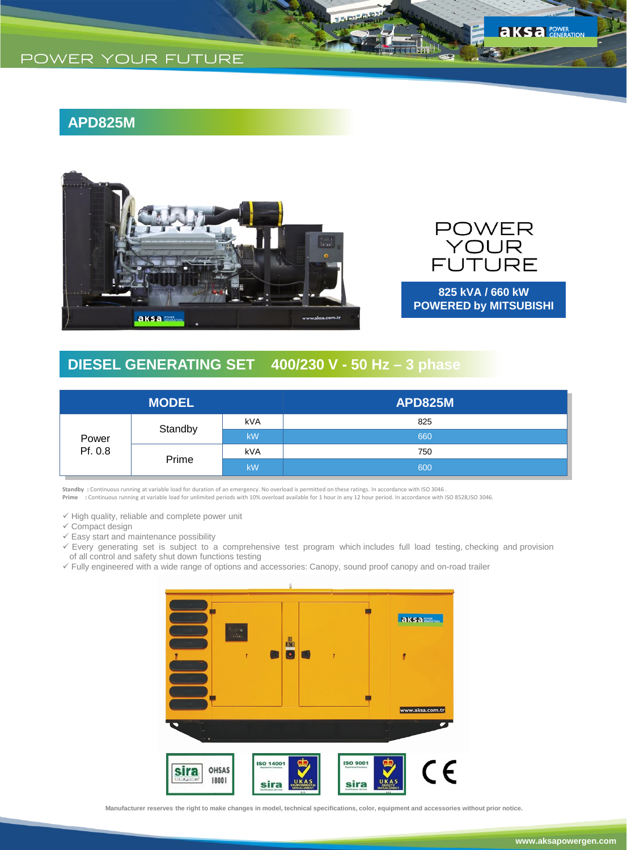## **APD825M**





**KS** a POWER

**825 kVA / 660 kW POWERED by MITSUBISHI**

# **DIESEL GENERATING SET 400/230 V - 50 Hz – 3 phase**

|                  | <b>MODEL</b> |            | <b>APD825M</b> |
|------------------|--------------|------------|----------------|
| Power<br>Pf. 0.8 | Standby      | <b>kVA</b> | 825            |
|                  |              | kW         | 660            |
|                  | Prime        | <b>kVA</b> | 750            |
|                  |              | <b>kW</b>  | 600            |

Standby : Continuous running at variable load for duration of an emergency. No overload is permitted on these ratings. In accordance with ISO 3046 .<br>Prime : Continuous running at variable load for unlimited periods with

 $\checkmark$  High quality, reliable and complete power unit  $\checkmark$  Compact design

 $\checkmark$  Easy start and maintenance possibility

- Every generating set is subject to a comprehensive test program which includes full load testing, checking and provision of all control and safety shut down functions testing
- Fully engineered with a wide range of options and accessories: Canopy, sound proof canopy and on-road trailer



**Manufacturer reserves the right to make changes in model, technical specifications, color, equipment and accessories without prior notice.**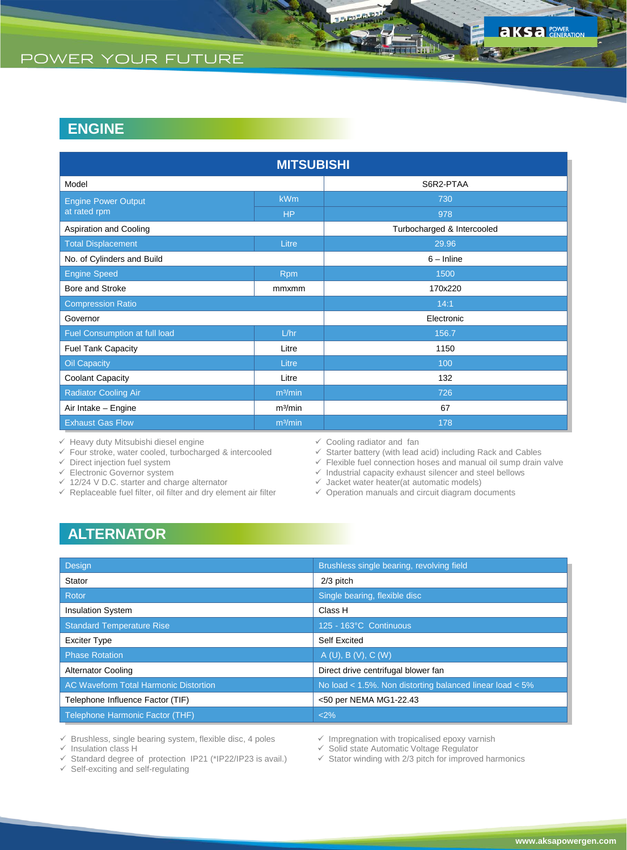# **ENGINE**

|                               | <b>MITSUBISHI</b>   |                            |
|-------------------------------|---------------------|----------------------------|
| Model                         |                     | S6R2-PTAA                  |
| <b>Engine Power Output</b>    | <b>kWm</b>          | 730                        |
| at rated rpm                  | <b>HP</b>           | 978                        |
| Aspiration and Cooling        |                     | Turbocharged & Intercooled |
| <b>Total Displacement</b>     | Litre               | 29.96                      |
| No. of Cylinders and Build    |                     | $6 - Inline$               |
| <b>Engine Speed</b>           | <b>Rpm</b>          | 1500                       |
| Bore and Stroke               | mmxmm               | 170x220                    |
| <b>Compression Ratio</b>      |                     | 14:1                       |
| Governor                      |                     | Electronic                 |
| Fuel Consumption at full load | L/hr                | 156.7                      |
| <b>Fuel Tank Capacity</b>     | Litre               | 1150                       |
| <b>Oil Capacity</b>           | Litre               | 100                        |
| Coolant Capacity              | Litre               | 132                        |
| <b>Radiator Cooling Air</b>   | m <sup>3</sup> /min | 726                        |
| Air Intake - Engine           | m <sup>3</sup> /min | 67                         |
| <b>Exhaust Gas Flow</b>       | m <sup>3</sup> /min | 178                        |

 $\checkmark$  Heavy duty Mitsubishi diesel engine

 $\checkmark$  Four stroke, water cooled, turbocharged & intercooled

 $\checkmark$  Direct injection fuel system

 $\checkmark$  Electronic Governor system

- $\checkmark$  12/24 V D.C. starter and charge alternator
- $\checkmark$  Replaceable fuel filter, oil filter and dry element air filter
- $\checkmark$  Cooling radiator and fan
- Starter battery (with lead acid) including Rack and Cables
- $\checkmark$  Flexible fuel connection hoses and manual oil sump drain valve
- $\checkmark$  Industrial capacity exhaust silencer and steel bellows
- $\checkmark$  Jacket water heater(at automatic models)
- $\checkmark$  Operation manuals and circuit diagram documents

# **ALTERNATOR**

| Design                                       | Brushless single bearing, revolving field                    |
|----------------------------------------------|--------------------------------------------------------------|
| Stator                                       | $2/3$ pitch                                                  |
| Rotor                                        | Single bearing, flexible disc                                |
| <b>Insulation System</b>                     | Class H                                                      |
| <b>Standard Temperature Rise</b>             | 125 - 163°C Continuous                                       |
| <b>Exciter Type</b>                          | <b>Self Excited</b>                                          |
| <b>Phase Rotation</b>                        | A(U), B(V), C(W)                                             |
| <b>Alternator Cooling</b>                    | Direct drive centrifugal blower fan                          |
| <b>AC Waveform Total Harmonic Distortion</b> | No load $<$ 1.5%. Non distorting balanced linear load $<$ 5% |
| Telephone Influence Factor (TIF)             | <50 per NEMA MG1-22.43                                       |
| Telephone Harmonic Factor (THF)              | <2%                                                          |

 $\checkmark$  Brushless, single bearing system, flexible disc, 4 poles

 $\checkmark$  Insulation class H

Standard degree of protection IP21 (\*IP22/IP23 is avail.)

 $\checkmark$  Self-exciting and self-regulating

- $\checkmark$  Impregnation with tropicalised epoxy varnish
- Solid state Automatic Voltage Regulator
- $\checkmark$  Stator winding with 2/3 pitch for improved harmonics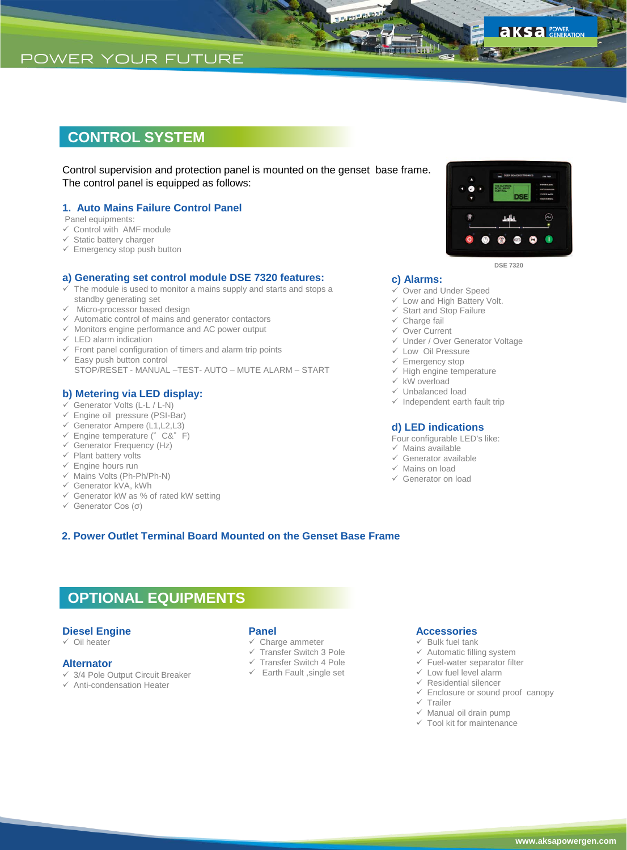## **CONTROL SYSTEM**

Control supervision and protection panel is mounted on the genset base frame. The control panel is equipped as follows:

### **1. Auto Mains Failure Control Panel**

Panel equipments:

- $\checkmark$  Control with AMF module
- $\checkmark$  Static battery charger
- $\checkmark$  Emergency stop push button

### **a) Generating set control module DSE 7320 features:**

- The module is used to monitor a mains supply and starts and stops a standby generating set
- $\checkmark$  Micro-processor based design
- $\checkmark$  Automatic control of mains and generator contactors
- $\checkmark$  Monitors engine performance and AC power output
- $\checkmark$  LED alarm indication
- $\checkmark$  Front panel configuration of timers and alarm trip points
- $\checkmark$  Easy push button control STOP/RESET - MANUAL –TEST- AUTO – MUTE ALARM – START

#### **b) Metering via LED display:**

- Generator Volts (L-L / L-N)
- Engine oil pressure (PSI-Bar)
- $\checkmark$  Generator Ampere (L1, L2, L3)
- $\checkmark$  Engine temperature (°C&°F)
- $\checkmark$  Generator Frequency (Hz)
- $\checkmark$  Plant battery volts  $\checkmark$  Engine hours run
- $\checkmark$  Mains Volts (Ph-Ph/Ph-N)
- Generator kVA, kWh
- $\checkmark$  Generator kW as % of rated kW setting
- Generator Cos (σ)



**aksa** POWER

**DSE 7320**

#### **c) Alarms:**

- Over and Under Speed
- Low and High Battery Volt.
- $\checkmark$  Start and Stop Failure
- $\checkmark$  Charge fail
- Over Current
- Under / Over Generator Voltage
- Low Oil Pressure
- $\checkmark$  Emergency stop
- $\checkmark$  High engine temperature
- $\times$  kW overload
- Unbalanced load
- $\checkmark$  Independent earth fault trip

#### **d) LED indications**

- Four configurable LED's like:
- $\checkmark$  Mains available
- $\checkmark$  Generator available
- $\checkmark$  Mains on load
- Generator on load

### **2. Power Outlet Terminal Board Mounted on the Genset Base Frame**

# **OPTIONAL EQUIPMENTS**

#### **Diesel Engine**

 $\checkmark$  Oil heater

#### **Alternator**

- $\checkmark$  3/4 Pole Output Circuit Breaker
- $\checkmark$  Anti-condensation Heater

### **Panel**

- $\checkmark$  Charge ammeter
- Transfer Switch 3 Pole
- $\checkmark$  Transfer Switch 4 Pole
- $\checkmark$  Earth Fault , single set

### **Accessories**

- $\checkmark$  Bulk fuel tank
- $\checkmark$  Automatic filling system
- $\checkmark$  Fuel-water separator filter
- $\checkmark$  Low fuel level alarm
- $\checkmark$  Residential silencer
- $\checkmark$  Enclosure or sound proof canopy
- $\times$  Trailer
- $\checkmark$  Manual oil drain pump
- $\checkmark$  Tool kit for maintenance